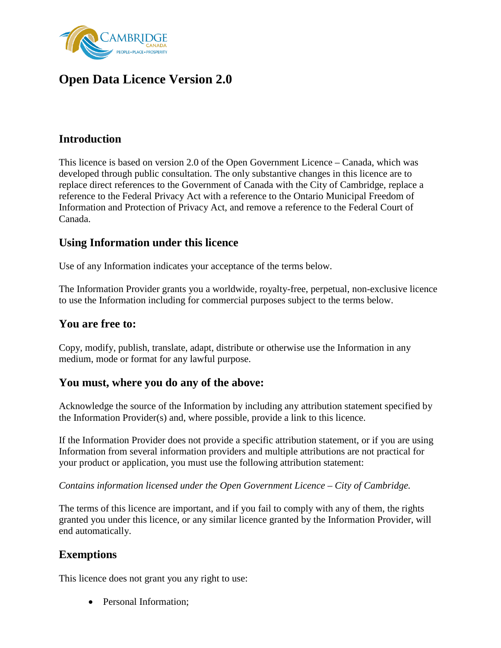

## **Open Data Licence Version 2.0**

### **Introduction**

This licence is based on version 2.0 of the Open Government Licence – Canada, which was developed through public consultation. The only substantive changes in this licence are to replace direct references to the Government of Canada with the City of Cambridge, replace a reference to the Federal Privacy Act with a reference to the Ontario Municipal Freedom of Information and Protection of Privacy Act, and remove a reference to the Federal Court of Canada.

### **Using Information under this licence**

Use of any Information indicates your acceptance of the terms below.

The Information Provider grants you a worldwide, royalty-free, perpetual, non-exclusive licence to use the Information including for commercial purposes subject to the terms below.

#### **You are free to:**

Copy, modify, publish, translate, adapt, distribute or otherwise use the Information in any medium, mode or format for any lawful purpose.

### **You must, where you do any of the above:**

Acknowledge the source of the Information by including any attribution statement specified by the Information Provider(s) and, where possible, provide a link to this licence.

If the Information Provider does not provide a specific attribution statement, or if you are using Information from several information providers and multiple attributions are not practical for your product or application, you must use the following attribution statement:

*Contains information licensed under the Open Government Licence – City of Cambridge.*

The terms of this licence are important, and if you fail to comply with any of them, the rights granted you under this licence, or any similar licence granted by the Information Provider, will end automatically.

### **Exemptions**

This licence does not grant you any right to use:

• Personal Information: